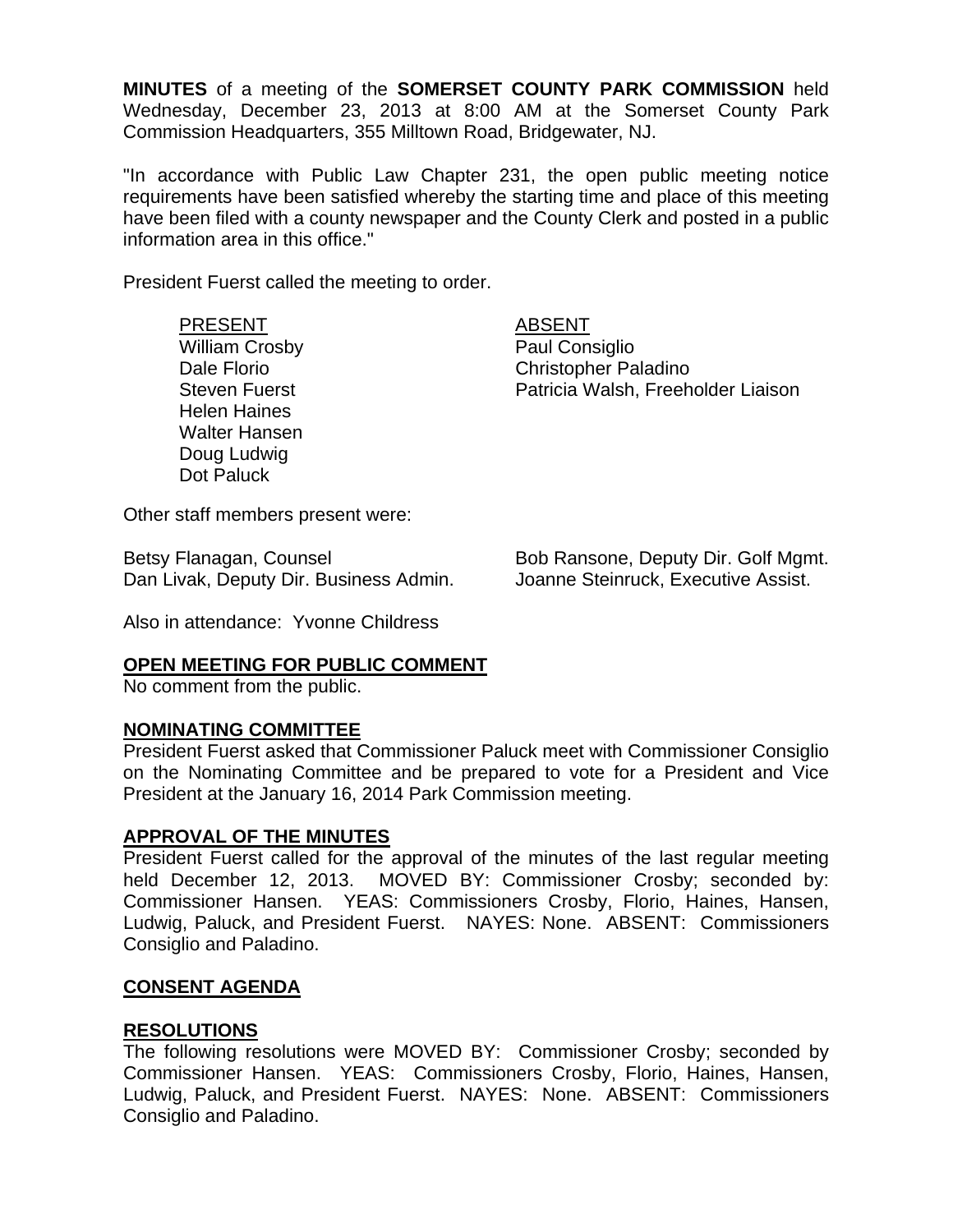**MINUTES** of a meeting of the **SOMERSET COUNTY PARK COMMISSION** held Wednesday, December 23, 2013 at 8:00 AM at the Somerset County Park Commission Headquarters, 355 Milltown Road, Bridgewater, NJ.

"In accordance with Public Law Chapter 231, the open public meeting notice requirements have been satisfied whereby the starting time and place of this meeting have been filed with a county newspaper and the County Clerk and posted in a public information area in this office."

President Fuerst called the meeting to order.

# PRESENT ABSENT

William Crosby **Paul Consiglio** Helen Haines Walter Hansen Doug Ludwig Dot Paluck

Dale Florio Christopher Paladino Steven Fuerst **Patricia Walsh, Freeholder Liaison** 

Other staff members present were:

Betsy Flanagan, Counsel **Bob Ransone, Deputy Dir. Golf Mgmt.** Dan Livak, Deputy Dir. Business Admin. Joanne Steinruck, Executive Assist.

Also in attendance: Yvonne Childress

## **OPEN MEETING FOR PUBLIC COMMENT**

No comment from the public.

#### **NOMINATING COMMITTEE**

President Fuerst asked that Commissioner Paluck meet with Commissioner Consiglio on the Nominating Committee and be prepared to vote for a President and Vice President at the January 16, 2014 Park Commission meeting.

## **APPROVAL OF THE MINUTES**

President Fuerst called for the approval of the minutes of the last regular meeting held December 12, 2013. MOVED BY: Commissioner Crosby; seconded by: Commissioner Hansen. YEAS: Commissioners Crosby, Florio, Haines, Hansen, Ludwig, Paluck, and President Fuerst. NAYES: None. ABSENT: Commissioners Consiglio and Paladino.

## **CONSENT AGENDA**

## **RESOLUTIONS**

The following resolutions were MOVED BY: Commissioner Crosby; seconded by Commissioner Hansen. YEAS: Commissioners Crosby, Florio, Haines, Hansen, Ludwig, Paluck, and President Fuerst. NAYES: None. ABSENT: Commissioners Consiglio and Paladino.